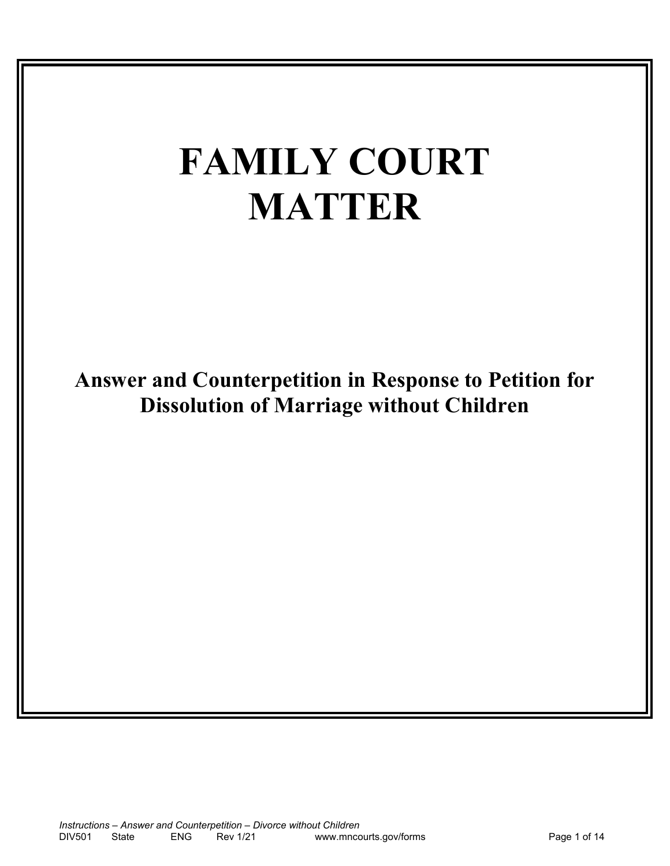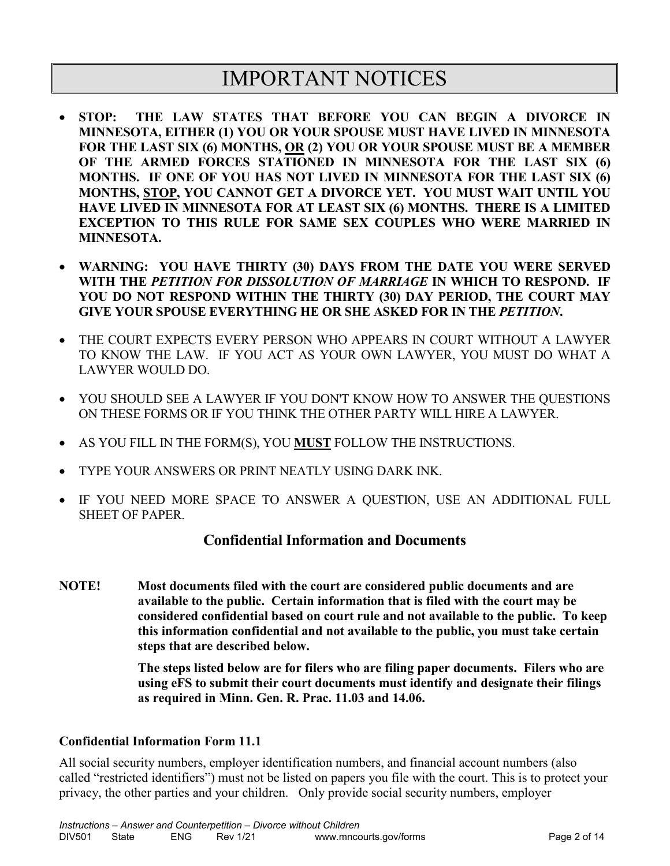# IMPORTANT NOTICES

- **STOP: THE LAW STATES THAT BEFORE YOU CAN BEGIN A DIVORCE IN MINNESOTA, EITHER (1) YOU OR YOUR SPOUSE MUST HAVE LIVED IN MINNESOTA FOR THE LAST SIX (6) MONTHS, OR (2) YOU OR YOUR SPOUSE MUST BE A MEMBER OF THE ARMED FORCES STATIONED IN MINNESOTA FOR THE LAST SIX (6) MONTHS. IF ONE OF YOU HAS NOT LIVED IN MINNESOTA FOR THE LAST SIX (6) MONTHS, STOP, YOU CANNOT GET A DIVORCE YET. YOU MUST WAIT UNTIL YOU HAVE LIVED IN MINNESOTA FOR AT LEAST SIX (6) MONTHS. THERE IS A LIMITED EXCEPTION TO THIS RULE FOR SAME SEX COUPLES WHO WERE MARRIED IN MINNESOTA.**
- **WARNING: YOU HAVE THIRTY (30) DAYS FROM THE DATE YOU WERE SERVED WITH THE** *PETITION FOR DISSOLUTION OF MARRIAGE* **IN WHICH TO RESPOND. IF YOU DO NOT RESPOND WITHIN THE THIRTY (30) DAY PERIOD, THE COURT MAY GIVE YOUR SPOUSE EVERYTHING HE OR SHE ASKED FOR IN THE** *PETITION***.**
- THE COURT EXPECTS EVERY PERSON WHO APPEARS IN COURT WITHOUT A LAWYER TO KNOW THE LAW. IF YOU ACT AS YOUR OWN LAWYER, YOU MUST DO WHAT A LAWYER WOULD DO.
- YOU SHOULD SEE A LAWYER IF YOU DON'T KNOW HOW TO ANSWER THE QUESTIONS ON THESE FORMS OR IF YOU THINK THE OTHER PARTY WILL HIRE A LAWYER.
- AS YOU FILL IN THE FORM(S), YOU **MUST** FOLLOW THE INSTRUCTIONS.
- TYPE YOUR ANSWERS OR PRINT NEATLY USING DARK INK.
- IF YOU NEED MORE SPACE TO ANSWER A QUESTION, USE AN ADDITIONAL FULL SHEET OF PAPER.

#### **Confidential Information and Documents**

**NOTE! Most documents filed with the court are considered public documents and are available to the public. Certain information that is filed with the court may be considered confidential based on court rule and not available to the public. To keep this information confidential and not available to the public, you must take certain steps that are described below.** 

> **The steps listed below are for filers who are filing paper documents. Filers who are using eFS to submit their court documents must identify and designate their filings as required in Minn. Gen. R. Prac. 11.03 and 14.06.**

#### **Confidential Information Form 11.1**

All social security numbers, employer identification numbers, and financial account numbers (also called "restricted identifiers") must not be listed on papers you file with the court. This is to protect your privacy, the other parties and your children. Only provide social security numbers, employer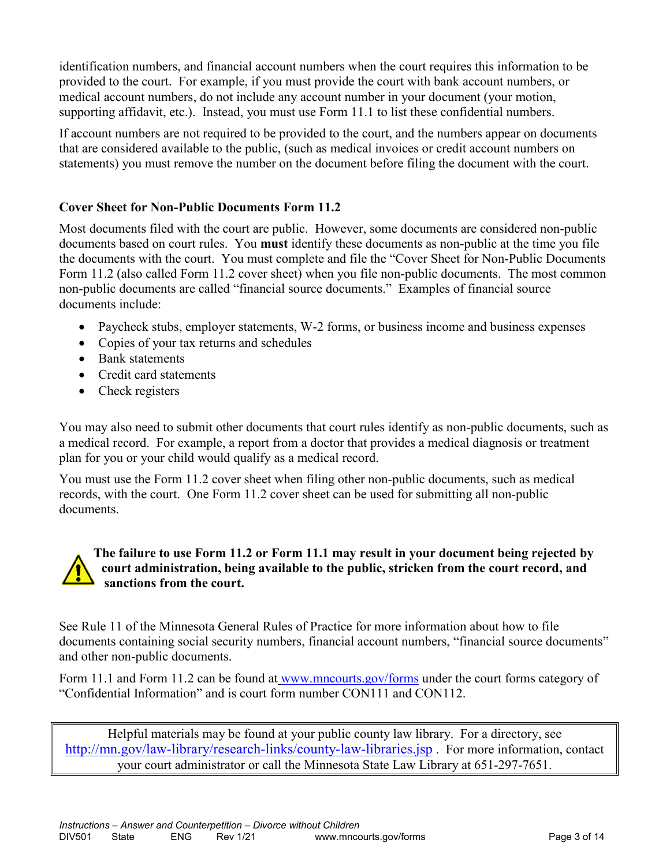identification numbers, and financial account numbers when the court requires this information to be provided to the court. For example, if you must provide the court with bank account numbers, or medical account numbers, do not include any account number in your document (your motion, supporting affidavit, etc.). Instead, you must use Form 11.1 to list these confidential numbers.

If account numbers are not required to be provided to the court, and the numbers appear on documents that are considered available to the public, (such as medical invoices or credit account numbers on statements) you must remove the number on the document before filing the document with the court.

#### **Cover Sheet for Non-Public Documents Form 11.2**

Most documents filed with the court are public. However, some documents are considered non-public documents based on court rules. You **must** identify these documents as non-public at the time you file the documents with the court. You must complete and file the "Cover Sheet for Non-Public Documents Form 11.2 (also called Form 11.2 cover sheet) when you file non-public documents. The most common non-public documents are called "financial source documents." Examples of financial source documents include:

- Paycheck stubs, employer statements, W-2 forms, or business income and business expenses
- Copies of your tax returns and schedules
- Bank statements
- Credit card statements
- Check registers

You may also need to submit other documents that court rules identify as non-public documents, such as a medical record. For example, a report from a doctor that provides a medical diagnosis or treatment plan for you or your child would qualify as a medical record.

You must use the Form 11.2 cover sheet when filing other non-public documents, such as medical records, with the court. One Form 11.2 cover sheet can be used for submitting all non-public documents.

#### **The failure to use Form 11.2 or Form 11.1 may result in your document being rejected by court administration, being available to the public, stricken from the court record, and sanctions from the court.**

See Rule 11 of the Minnesota General Rules of Practice for more information about how to file documents containing social security numbers, financial account numbers, "financial source documents" and other non-public documents.

Form 11.1 and Form 11.2 can be found at [www.mncourts.gov/forms](http://www.mncourts.gov/forms) under the court forms category of "Confidential Information" and is court form number CON111 and CON112.

Helpful materials may be found at your public county law library. For a directory, see <http://mn.gov/law-library/research-links/county-law-libraries.jsp> . For more information, contact your court administrator or call the Minnesota State Law Library at 651-297-7651.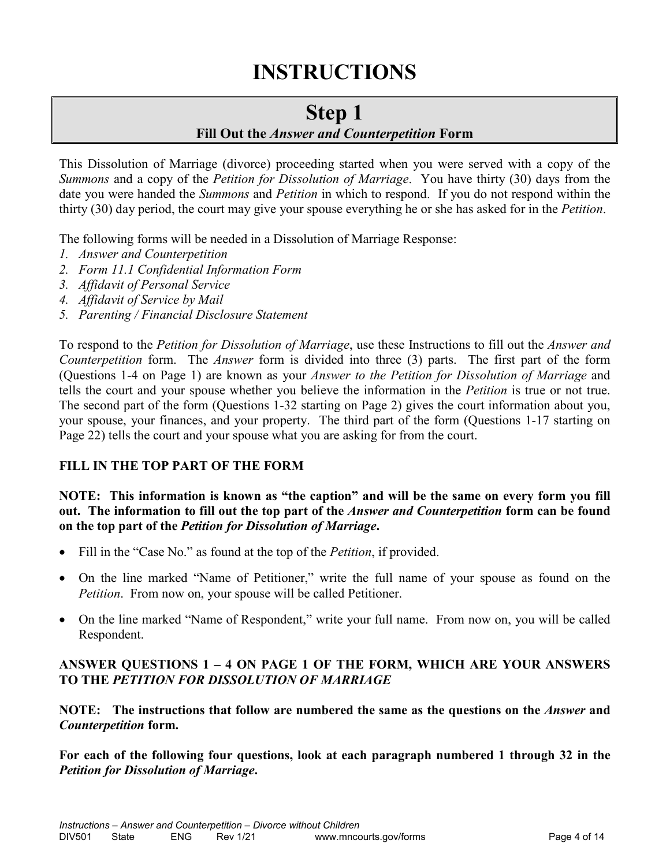# **INSTRUCTIONS**

## **Step 1**

#### **Fill Out the** *Answer and Counterpetition* **Form**

This Dissolution of Marriage (divorce) proceeding started when you were served with a copy of the *Summons* and a copy of the *Petition for Dissolution of Marriage*. You have thirty (30) days from the date you were handed the *Summons* and *Petition* in which to respond. If you do not respond within the thirty (30) day period, the court may give your spouse everything he or she has asked for in the *Petition*.

The following forms will be needed in a Dissolution of Marriage Response:

- *1. Answer and Counterpetition*
- *2. Form 11.1 Confidential Information Form*
- *3. Affidavit of Personal Service*
- *4. Affidavit of Service by Mail*
- *5. Parenting / Financial Disclosure Statement*

To respond to the *Petition for Dissolution of Marriage*, use these Instructions to fill out the *Answer and Counterpetition* form. The *Answer* form is divided into three (3) parts. The first part of the form (Questions 1-4 on Page 1) are known as your *Answer to the Petition for Dissolution of Marriage* and tells the court and your spouse whether you believe the information in the *Petition* is true or not true. The second part of the form (Questions 1-32 starting on Page 2) gives the court information about you, your spouse, your finances, and your property. The third part of the form (Questions 1-17 starting on Page 22) tells the court and your spouse what you are asking for from the court.

#### **FILL IN THE TOP PART OF THE FORM**

#### **NOTE: This information is known as "the caption" and will be the same on every form you fill out. The information to fill out the top part of the** *Answer and Counterpetition* **form can be found on the top part of the** *Petition for Dissolution of Marriage***.**

- Fill in the "Case No." as found at the top of the *Petition*, if provided.
- On the line marked "Name of Petitioner," write the full name of your spouse as found on the *Petition*. From now on, your spouse will be called Petitioner.
- On the line marked "Name of Respondent," write your full name. From now on, you will be called Respondent.

#### **ANSWER QUESTIONS 1 – 4 ON PAGE 1 OF THE FORM, WHICH ARE YOUR ANSWERS TO THE** *PETITION FOR DISSOLUTION OF MARRIAGE*

**NOTE: The instructions that follow are numbered the same as the questions on the** *Answer* **and**  *Counterpetition* **form.**

**For each of the following four questions, look at each paragraph numbered 1 through 32 in the**  *Petition for Dissolution of Marriage***.**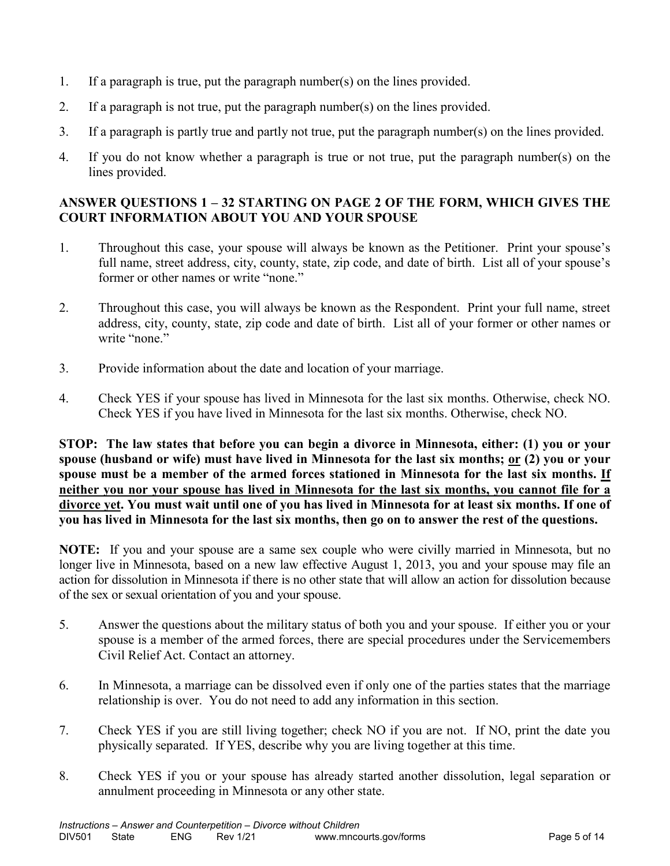- 1. If a paragraph is true, put the paragraph number(s) on the lines provided.
- 2. If a paragraph is not true, put the paragraph number(s) on the lines provided.
- 3. If a paragraph is partly true and partly not true, put the paragraph number(s) on the lines provided.
- 4. If you do not know whether a paragraph is true or not true, put the paragraph number(s) on the lines provided.

#### **ANSWER QUESTIONS 1 – 32 STARTING ON PAGE 2 OF THE FORM, WHICH GIVES THE COURT INFORMATION ABOUT YOU AND YOUR SPOUSE**

- 1. Throughout this case, your spouse will always be known as the Petitioner. Print your spouse's full name, street address, city, county, state, zip code, and date of birth. List all of your spouse's former or other names or write "none."
- 2. Throughout this case, you will always be known as the Respondent. Print your full name, street address, city, county, state, zip code and date of birth. List all of your former or other names or write "none."
- 3. Provide information about the date and location of your marriage.
- 4. Check YES if your spouse has lived in Minnesota for the last six months. Otherwise, check NO. Check YES if you have lived in Minnesota for the last six months. Otherwise, check NO.

**STOP: The law states that before you can begin a divorce in Minnesota, either: (1) you or your spouse (husband or wife) must have lived in Minnesota for the last six months; or (2) you or your spouse must be a member of the armed forces stationed in Minnesota for the last six months. If neither you nor your spouse has lived in Minnesota for the last six months, you cannot file for a divorce yet. You must wait until one of you has lived in Minnesota for at least six months. If one of you has lived in Minnesota for the last six months, then go on to answer the rest of the questions.** 

**NOTE:** If you and your spouse are a same sex couple who were civilly married in Minnesota, but no longer live in Minnesota, based on a new law effective August 1, 2013, you and your spouse may file an action for dissolution in Minnesota if there is no other state that will allow an action for dissolution because of the sex or sexual orientation of you and your spouse.

- 5. Answer the questions about the military status of both you and your spouse. If either you or your spouse is a member of the armed forces, there are special procedures under the Servicemembers Civil Relief Act. Contact an attorney.
- 6. In Minnesota, a marriage can be dissolved even if only one of the parties states that the marriage relationship is over. You do not need to add any information in this section.
- 7. Check YES if you are still living together; check NO if you are not. If NO, print the date you physically separated. If YES, describe why you are living together at this time.
- 8. Check YES if you or your spouse has already started another dissolution, legal separation or annulment proceeding in Minnesota or any other state.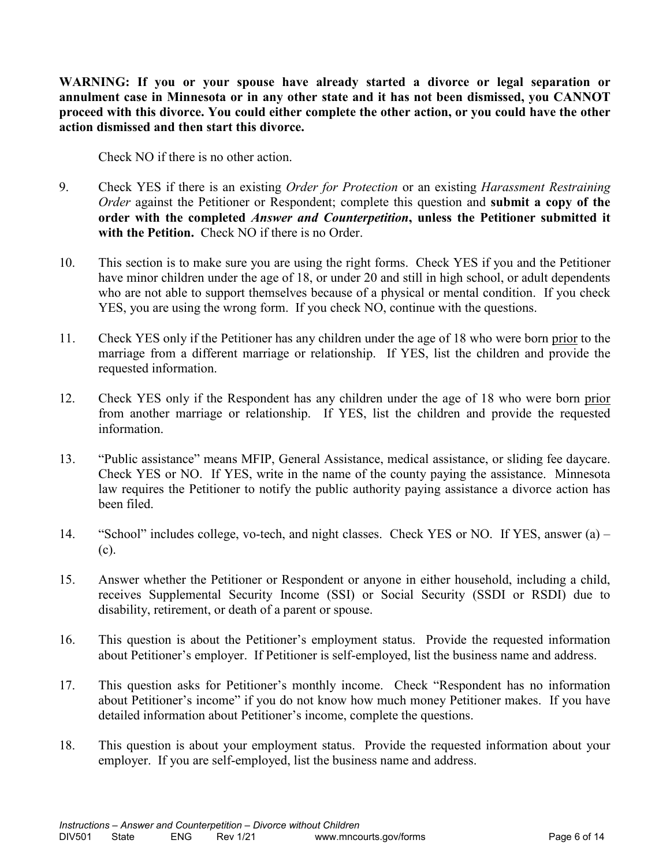**WARNING: If you or your spouse have already started a divorce or legal separation or annulment case in Minnesota or in any other state and it has not been dismissed, you CANNOT proceed with this divorce. You could either complete the other action, or you could have the other action dismissed and then start this divorce.**

Check NO if there is no other action.

- 9. Check YES if there is an existing *Order for Protection* or an existing *Harassment Restraining Order* against the Petitioner or Respondent; complete this question and **submit a copy of the order with the completed** *Answer and Counterpetition***, unless the Petitioner submitted it with the Petition.** Check NO if there is no Order.
- 10. This section is to make sure you are using the right forms. Check YES if you and the Petitioner have minor children under the age of 18, or under 20 and still in high school, or adult dependents who are not able to support themselves because of a physical or mental condition. If you check YES, you are using the wrong form. If you check NO, continue with the questions.
- 11. Check YES only if the Petitioner has any children under the age of 18 who were born prior to the marriage from a different marriage or relationship. If YES, list the children and provide the requested information.
- 12. Check YES only if the Respondent has any children under the age of 18 who were born prior from another marriage or relationship. If YES, list the children and provide the requested information.
- 13. "Public assistance" means MFIP, General Assistance, medical assistance, or sliding fee daycare. Check YES or NO. If YES, write in the name of the county paying the assistance. Minnesota law requires the Petitioner to notify the public authority paying assistance a divorce action has been filed.
- 14. "School" includes college, vo-tech, and night classes. Check YES or NO. If YES, answer (a) (c).
- 15. Answer whether the Petitioner or Respondent or anyone in either household, including a child, receives Supplemental Security Income (SSI) or Social Security (SSDI or RSDI) due to disability, retirement, or death of a parent or spouse.
- 16. This question is about the Petitioner's employment status. Provide the requested information about Petitioner's employer. If Petitioner is self-employed, list the business name and address.
- 17. This question asks for Petitioner's monthly income. Check "Respondent has no information about Petitioner's income" if you do not know how much money Petitioner makes. If you have detailed information about Petitioner's income, complete the questions.
- 18. This question is about your employment status. Provide the requested information about your employer. If you are self-employed, list the business name and address.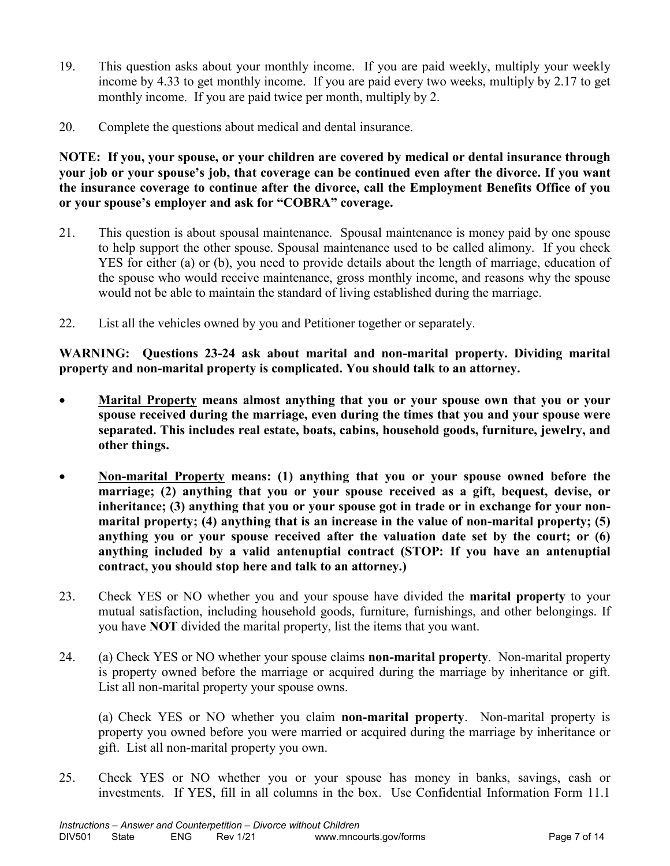- 19. This question asks about your monthly income. If you are paid weekly, multiply your weekly income by 4.33 to get monthly income. If you are paid every two weeks, multiply by 2.17 to get monthly income. If you are paid twice per month, multiply by 2.
- 20. Complete the questions about medical and dental insurance.

**NOTE: If you, your spouse, or your children are covered by medical or dental insurance through your job or your spouse's job, that coverage can be continued even after the divorce. If you want the insurance coverage to continue after the divorce, call the Employment Benefits Office of you or your spouse's employer and ask for "COBRA" coverage.**

- 21. This question is about spousal maintenance. Spousal maintenance is money paid by one spouse to help support the other spouse. Spousal maintenance used to be called alimony. If you check YES for either (a) or (b), you need to provide details about the length of marriage, education of the spouse who would receive maintenance, gross monthly income, and reasons why the spouse would not be able to maintain the standard of living established during the marriage.
- 22. List all the vehicles owned by you and Petitioner together or separately.

**WARNING: Questions 23-24 ask about marital and non-marital property. Dividing marital property and non-marital property is complicated. You should talk to an attorney.**

- **Marital Property means almost anything that you or your spouse own that you or your spouse received during the marriage, even during the times that you and your spouse were separated. This includes real estate, boats, cabins, household goods, furniture, jewelry, and other things.**
- **Non-marital Property means: (1) anything that you or your spouse owned before the marriage; (2) anything that you or your spouse received as a gift, bequest, devise, or inheritance; (3) anything that you or your spouse got in trade or in exchange for your nonmarital property; (4) anything that is an increase in the value of non-marital property; (5) anything you or your spouse received after the valuation date set by the court; or (6) anything included by a valid antenuptial contract (STOP: If you have an antenuptial contract, you should stop here and talk to an attorney.)**
- 23. Check YES or NO whether you and your spouse have divided the **marital property** to your mutual satisfaction, including household goods, furniture, furnishings, and other belongings. If you have **NOT** divided the marital property, list the items that you want.
- 24. (a) Check YES or NO whether your spouse claims **non-marital property**. Non-marital property is property owned before the marriage or acquired during the marriage by inheritance or gift. List all non-marital property your spouse owns.

(a) Check YES or NO whether you claim **non-marital property**. Non-marital property is property you owned before you were married or acquired during the marriage by inheritance or gift. List all non-marital property you own.

25. Check YES or NO whether you or your spouse has money in banks, savings, cash or investments. If YES, fill in all columns in the box. Use Confidential Information Form 11.1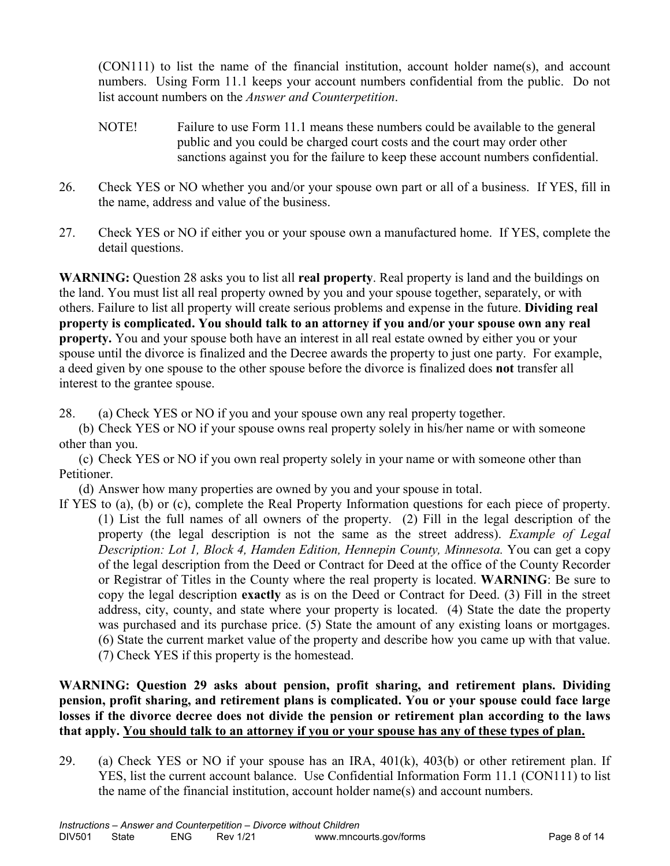(CON111) to list the name of the financial institution, account holder name(s), and account numbers. Using Form 11.1 keeps your account numbers confidential from the public. Do not list account numbers on the *Answer and Counterpetition*.

- NOTE! Failure to use Form 11.1 means these numbers could be available to the general public and you could be charged court costs and the court may order other sanctions against you for the failure to keep these account numbers confidential.
- 26. Check YES or NO whether you and/or your spouse own part or all of a business. If YES, fill in the name, address and value of the business.
- 27. Check YES or NO if either you or your spouse own a manufactured home. If YES, complete the detail questions.

**WARNING:** Question 28 asks you to list all **real property**. Real property is land and the buildings on the land. You must list all real property owned by you and your spouse together, separately, or with others. Failure to list all property will create serious problems and expense in the future. **Dividing real property is complicated. You should talk to an attorney if you and/or your spouse own any real property.** You and your spouse both have an interest in all real estate owned by either you or your spouse until the divorce is finalized and the Decree awards the property to just one party. For example, a deed given by one spouse to the other spouse before the divorce is finalized does **not** transfer all interest to the grantee spouse.

28. (a) Check YES or NO if you and your spouse own any real property together.

(b) Check YES or NO if your spouse owns real property solely in his/her name or with someone other than you.

(c) Check YES or NO if you own real property solely in your name or with someone other than Petitioner.

(d) Answer how many properties are owned by you and your spouse in total.

If YES to (a), (b) or (c), complete the Real Property Information questions for each piece of property. (1) List the full names of all owners of the property. (2) Fill in the legal description of the property (the legal description is not the same as the street address). *Example of Legal Description: Lot 1, Block 4, Hamden Edition, Hennepin County, Minnesota.* You can get a copy of the legal description from the Deed or Contract for Deed at the office of the County Recorder or Registrar of Titles in the County where the real property is located. **WARNING**: Be sure to copy the legal description **exactly** as is on the Deed or Contract for Deed. (3) Fill in the street address, city, county, and state where your property is located. (4) State the date the property was purchased and its purchase price. (5) State the amount of any existing loans or mortgages. (6) State the current market value of the property and describe how you came up with that value. (7) Check YES if this property is the homestead.

#### **WARNING: Question 29 asks about pension, profit sharing, and retirement plans. Dividing pension, profit sharing, and retirement plans is complicated. You or your spouse could face large losses if the divorce decree does not divide the pension or retirement plan according to the laws that apply. You should talk to an attorney if you or your spouse has any of these types of plan.**

29. (a) Check YES or NO if your spouse has an IRA,  $401(k)$ ,  $403(b)$  or other retirement plan. If YES, list the current account balance. Use Confidential Information Form 11.1 (CON111) to list the name of the financial institution, account holder name(s) and account numbers.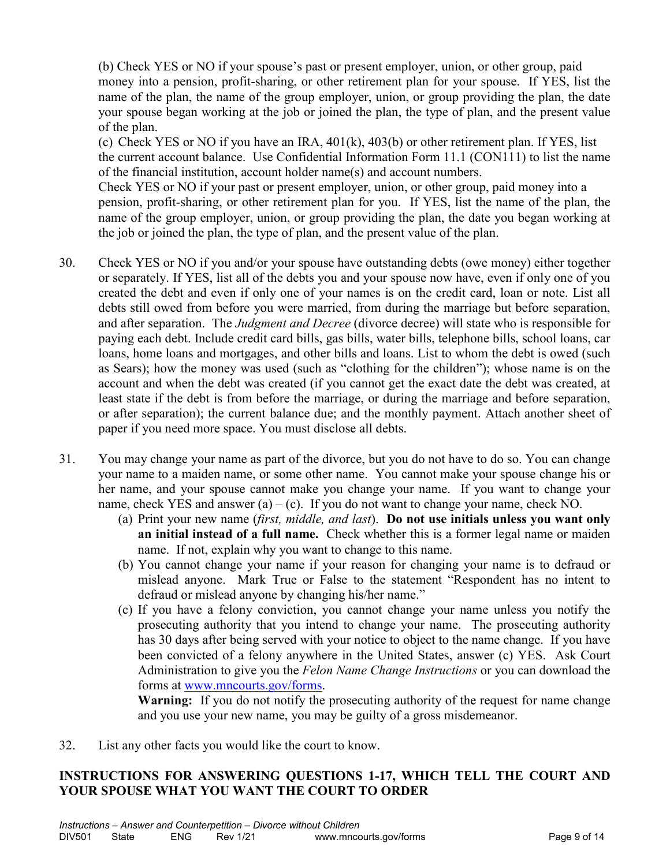(b) Check YES or NO if your spouse's past or present employer, union, or other group, paid money into a pension, profit-sharing, or other retirement plan for your spouse. If YES, list the name of the plan, the name of the group employer, union, or group providing the plan, the date your spouse began working at the job or joined the plan, the type of plan, and the present value of the plan.

(c) Check YES or NO if you have an IRA, 401(k), 403(b) or other retirement plan. If YES, list the current account balance. Use Confidential Information Form 11.1 (CON111) to list the name of the financial institution, account holder name(s) and account numbers.

Check YES or NO if your past or present employer, union, or other group, paid money into a pension, profit-sharing, or other retirement plan for you. If YES, list the name of the plan, the name of the group employer, union, or group providing the plan, the date you began working at the job or joined the plan, the type of plan, and the present value of the plan.

- 30. Check YES or NO if you and/or your spouse have outstanding debts (owe money) either together or separately. If YES, list all of the debts you and your spouse now have, even if only one of you created the debt and even if only one of your names is on the credit card, loan or note. List all debts still owed from before you were married, from during the marriage but before separation, and after separation. The *Judgment and Decree* (divorce decree) will state who is responsible for paying each debt. Include credit card bills, gas bills, water bills, telephone bills, school loans, car loans, home loans and mortgages, and other bills and loans. List to whom the debt is owed (such as Sears); how the money was used (such as "clothing for the children"); whose name is on the account and when the debt was created (if you cannot get the exact date the debt was created, at least state if the debt is from before the marriage, or during the marriage and before separation, or after separation); the current balance due; and the monthly payment. Attach another sheet of paper if you need more space. You must disclose all debts.
- 31. You may change your name as part of the divorce, but you do not have to do so. You can change your name to a maiden name, or some other name. You cannot make your spouse change his or her name, and your spouse cannot make you change your name.If you want to change your name, check YES and answer  $(a) - (c)$ . If you do not want to change your name, check NO.
	- (a) Print your new name (*first, middle, and last*). **Do not use initials unless you want only an initial instead of a full name.** Check whether this is a former legal name or maiden name. If not, explain why you want to change to this name.
	- (b) You cannot change your name if your reason for changing your name is to defraud or mislead anyone. Mark True or False to the statement "Respondent has no intent to defraud or mislead anyone by changing his/her name."
	- (c) If you have a felony conviction, you cannot change your name unless you notify the prosecuting authority that you intend to change your name. The prosecuting authority has 30 days after being served with your notice to object to the name change. If you have been convicted of a felony anywhere in the United States, answer (c) YES. Ask Court Administration to give you the *Felon Name Change Instructions* or you can download the forms at [www.mncourts.gov/forms.](http://www.mncourts.gov/forms)

**Warning:** If you do not notify the prosecuting authority of the request for name change and you use your new name, you may be guilty of a gross misdemeanor.

32. List any other facts you would like the court to know.

#### **INSTRUCTIONS FOR ANSWERING QUESTIONS 1-17, WHICH TELL THE COURT AND YOUR SPOUSE WHAT YOU WANT THE COURT TO ORDER**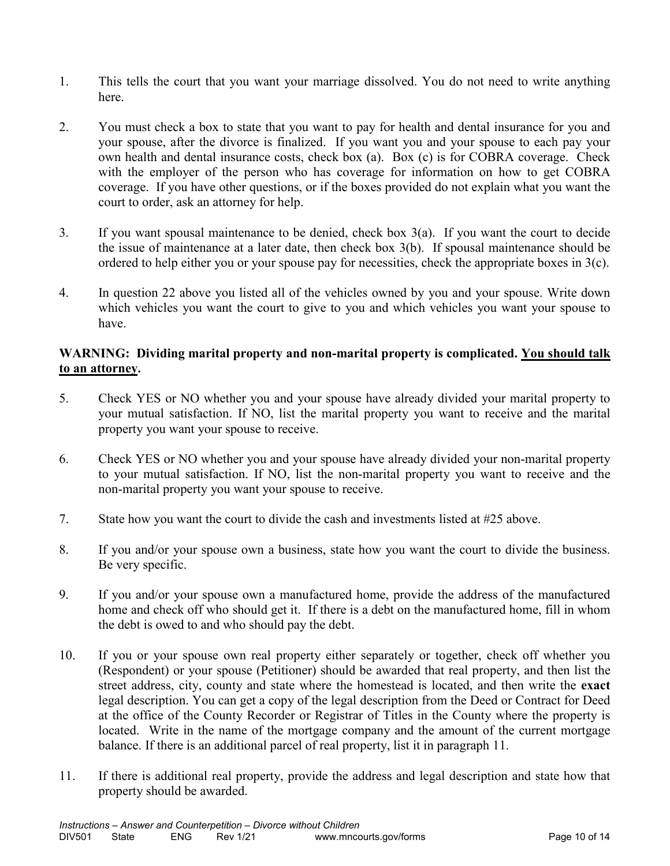- 1. This tells the court that you want your marriage dissolved. You do not need to write anything here.
- 2. You must check a box to state that you want to pay for health and dental insurance for you and your spouse, after the divorce is finalized. If you want you and your spouse to each pay your own health and dental insurance costs, check box (a). Box (c) is for COBRA coverage. Check with the employer of the person who has coverage for information on how to get COBRA coverage. If you have other questions, or if the boxes provided do not explain what you want the court to order, ask an attorney for help.
- 3. If you want spousal maintenance to be denied, check box 3(a). If you want the court to decide the issue of maintenance at a later date, then check box 3(b). If spousal maintenance should be ordered to help either you or your spouse pay for necessities, check the appropriate boxes in 3(c).
- 4. In question 22 above you listed all of the vehicles owned by you and your spouse. Write down which vehicles you want the court to give to you and which vehicles you want your spouse to have.

#### **WARNING: Dividing marital property and non-marital property is complicated. You should talk to an attorney.**

- 5. Check YES or NO whether you and your spouse have already divided your marital property to your mutual satisfaction. If NO, list the marital property you want to receive and the marital property you want your spouse to receive.
- 6. Check YES or NO whether you and your spouse have already divided your non-marital property to your mutual satisfaction. If NO, list the non-marital property you want to receive and the non-marital property you want your spouse to receive.
- 7. State how you want the court to divide the cash and investments listed at #25 above.
- 8. If you and/or your spouse own a business, state how you want the court to divide the business. Be very specific.
- 9. If you and/or your spouse own a manufactured home, provide the address of the manufactured home and check off who should get it. If there is a debt on the manufactured home, fill in whom the debt is owed to and who should pay the debt.
- 10. If you or your spouse own real property either separately or together, check off whether you (Respondent) or your spouse (Petitioner) should be awarded that real property, and then list the street address, city, county and state where the homestead is located, and then write the **exact** legal description. You can get a copy of the legal description from the Deed or Contract for Deed at the office of the County Recorder or Registrar of Titles in the County where the property is located. Write in the name of the mortgage company and the amount of the current mortgage balance. If there is an additional parcel of real property, list it in paragraph 11.
- 11. If there is additional real property, provide the address and legal description and state how that property should be awarded.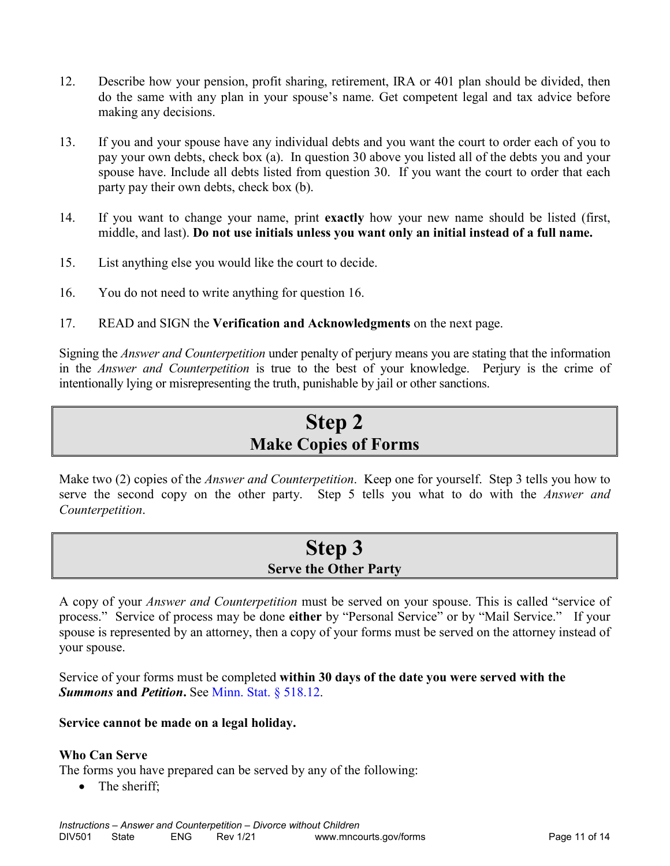- 12. Describe how your pension, profit sharing, retirement, IRA or 401 plan should be divided, then do the same with any plan in your spouse's name. Get competent legal and tax advice before making any decisions.
- 13. If you and your spouse have any individual debts and you want the court to order each of you to pay your own debts, check box (a). In question 30 above you listed all of the debts you and your spouse have. Include all debts listed from question 30. If you want the court to order that each party pay their own debts, check box (b).
- 14. If you want to change your name, print **exactly** how your new name should be listed (first, middle, and last). **Do not use initials unless you want only an initial instead of a full name.**
- 15. List anything else you would like the court to decide.
- 16. You do not need to write anything for question 16.
- 17. READ and SIGN the **Verification and Acknowledgments** on the next page.

Signing the *Answer and Counterpetition* under penalty of perjury means you are stating that the information in the *Answer and Counterpetition* is true to the best of your knowledge. Perjury is the crime of intentionally lying or misrepresenting the truth, punishable by jail or other sanctions.

## **Step 2 Make Copies of Forms**

Make two (2) copies of the *Answer and Counterpetition*. Keep one for yourself. Step 3 tells you how to serve the second copy on the other party. Step 5 tells you what to do with the *Answer and Counterpetition*.

## **Step 3 Serve the Other Party**

A copy of your *Answer and Counterpetition* must be served on your spouse. This is called "service of process." Service of process may be done **either** by "Personal Service" or by "Mail Service." If your spouse is represented by an attorney, then a copy of your forms must be served on the attorney instead of your spouse.

Service of your forms must be completed **within 30 days of the date you were served with the**  *Summons* **and** *Petition***.** See Minn. Stat. § 518.12.

#### **Service cannot be made on a legal holiday.**

#### **Who Can Serve**

The forms you have prepared can be served by any of the following:

• The sheriff;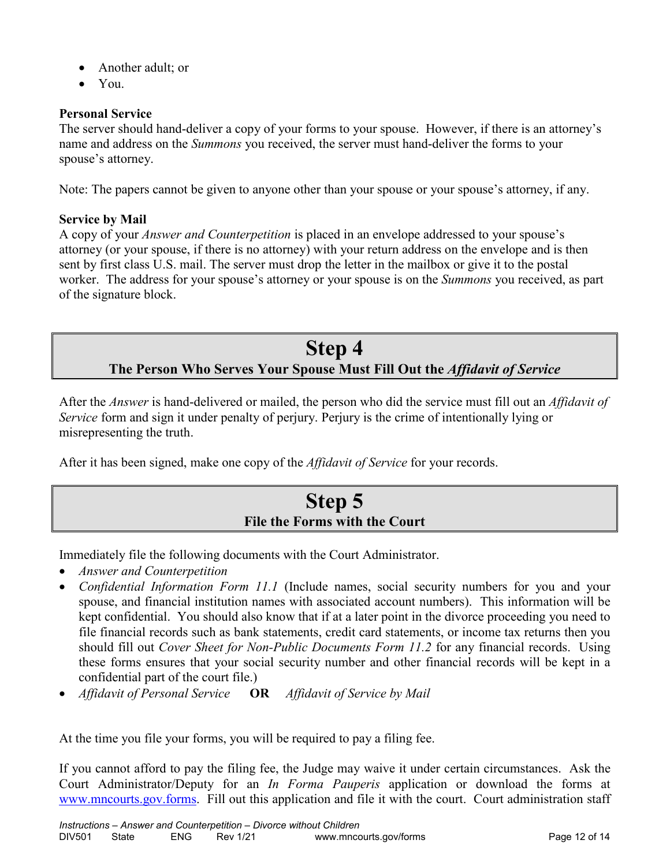- Another adult; or
- You.

#### **Personal Service**

The server should hand-deliver a copy of your forms to your spouse. However, if there is an attorney's name and address on the *Summons* you received, the server must hand-deliver the forms to your spouse's attorney.

Note: The papers cannot be given to anyone other than your spouse or your spouse's attorney, if any.

#### **Service by Mail**

A copy of your *Answer and Counterpetition* is placed in an envelope addressed to your spouse's attorney (or your spouse, if there is no attorney) with your return address on the envelope and is then sent by first class U.S. mail. The server must drop the letter in the mailbox or give it to the postal worker. The address for your spouse's attorney or your spouse is on the *Summons* you received, as part of the signature block.

## **Step 4 The Person Who Serves Your Spouse Must Fill Out the** *Affidavit of Service*

After the *Answer* is hand-delivered or mailed, the person who did the service must fill out an *Affidavit of Service* form and sign it under penalty of perjury. Perjury is the crime of intentionally lying or misrepresenting the truth.

After it has been signed, make one copy of the *Affidavit of Service* for your records.

## **Step 5 File the Forms with the Court**

Immediately file the following documents with the Court Administrator.

- *Answer and Counterpetition*
- *Confidential Information Form 11.1* (Include names, social security numbers for you and your spouse, and financial institution names with associated account numbers). This information will be kept confidential. You should also know that if at a later point in the divorce proceeding you need to file financial records such as bank statements, credit card statements, or income tax returns then you should fill out *Cover Sheet for Non-Public Documents Form 11.2* for any financial records. Using these forms ensures that your social security number and other financial records will be kept in a confidential part of the court file.)
- *Affidavit of Personal Service* **OR** *Affidavit of Service by Mail*

At the time you file your forms, you will be required to pay a filing fee.

If you cannot afford to pay the filing fee, the Judge may waive it under certain circumstances. Ask the Court Administrator/Deputy for an *In Forma Pauperis* application or download the forms at [www.mncourts.gov.forms.](http://www.mncourts.gov.forms/) Fill out this application and file it with the court. Court administration staff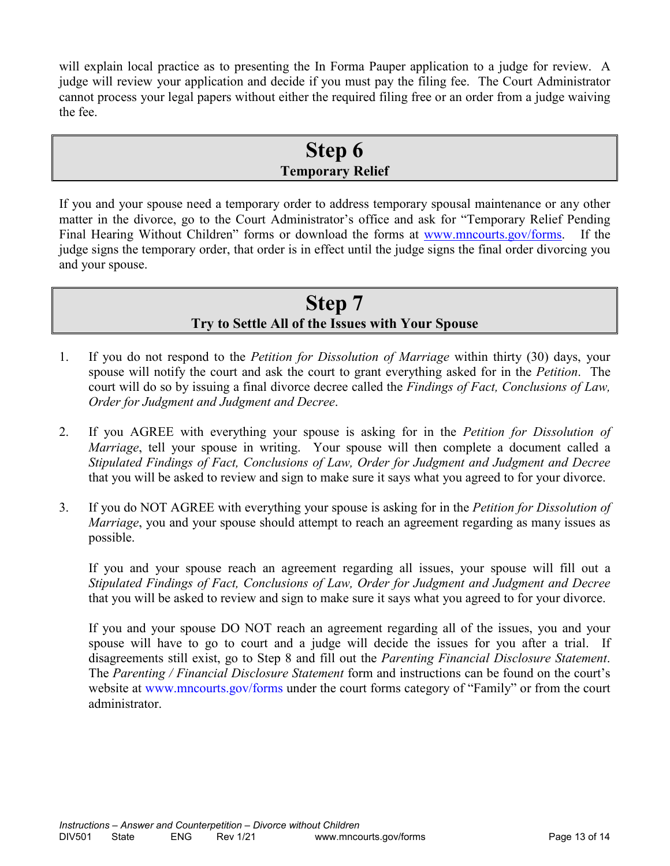will explain local practice as to presenting the In Forma Pauper application to a judge for review. A judge will review your application and decide if you must pay the filing fee. The Court Administrator cannot process your legal papers without either the required filing free or an order from a judge waiving the fee.

## **Step 6 Temporary Relief**

If you and your spouse need a temporary order to address temporary spousal maintenance or any other matter in the divorce, go to the Court Administrator's office and ask for "Temporary Relief Pending Final Hearing Without Children" forms or download the forms at [www.mncourts.gov/forms.](http://www.mncourts.gov/forms) If the judge signs the temporary order, that order is in effect until the judge signs the final order divorcing you and your spouse.

## **Step 7 Try to Settle All of the Issues with Your Spouse**

- 1. If you do not respond to the *Petition for Dissolution of Marriage* within thirty (30) days, your spouse will notify the court and ask the court to grant everything asked for in the *Petition*. The court will do so by issuing a final divorce decree called the *Findings of Fact, Conclusions of Law, Order for Judgment and Judgment and Decree*.
- 2. If you AGREE with everything your spouse is asking for in the *Petition for Dissolution of Marriage*, tell your spouse in writing. Your spouse will then complete a document called a *Stipulated Findings of Fact, Conclusions of Law, Order for Judgment and Judgment and Decree* that you will be asked to review and sign to make sure it says what you agreed to for your divorce.
- 3. If you do NOT AGREE with everything your spouse is asking for in the *Petition for Dissolution of Marriage*, you and your spouse should attempt to reach an agreement regarding as many issues as possible.

If you and your spouse reach an agreement regarding all issues, your spouse will fill out a *Stipulated Findings of Fact, Conclusions of Law, Order for Judgment and Judgment and Decree* that you will be asked to review and sign to make sure it says what you agreed to for your divorce.

If you and your spouse DO NOT reach an agreement regarding all of the issues, you and your spouse will have to go to court and a judge will decide the issues for you after a trial. If disagreements still exist, go to Step 8 and fill out the *Parenting Financial Disclosure Statement*. The *Parenting / Financial Disclosure Statement* form and instructions can be found on the court's website at [www.mncourts.gov/forms](http://www.mncourts.gov/forms) under the court forms category of "Family" or from the court administrator.